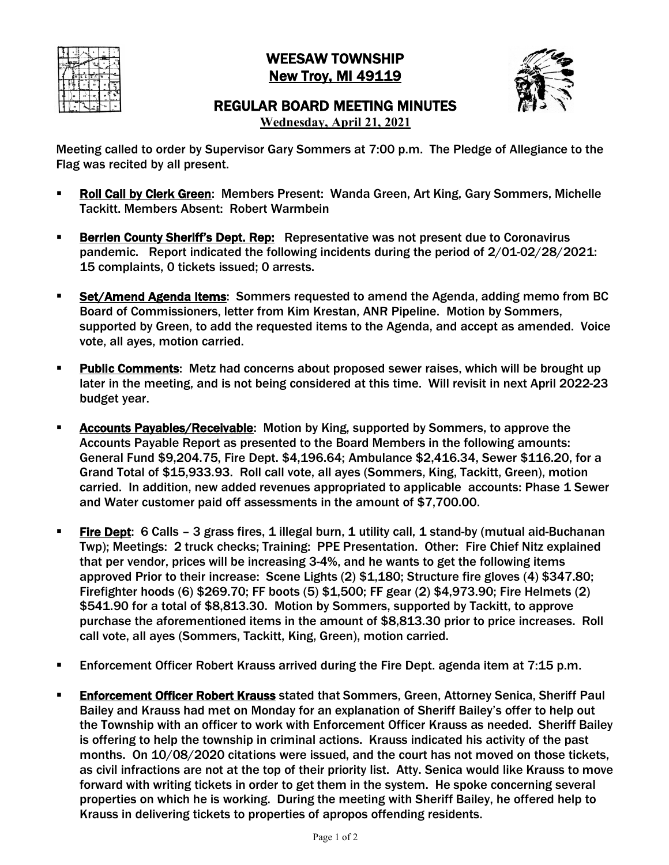

## WEESAW TOWNSHIP New Troy, MI 49119



## REGULAR BOARD MEETING MINUTES

**Wednesday, April 21, 2021**

Meeting called to order by Supervisor Gary Sommers at 7:00 p.m. The Pledge of Allegiance to the Flag was recited by all present.

- § Roll Call by Clerk Green: Members Present: Wanda Green, Art King, Gary Sommers, Michelle Tackitt. Members Absent: Robert Warmbein
- **Berrien County Sheriff's Dept. Rep:** Representative was not present due to Coronavirus pandemic. Report indicated the following incidents during the period of 2/01-02/28/2021: 15 complaints, 0 tickets issued; 0 arrests.
- **Set/Amend Agenda Items:** Sommers requested to amend the Agenda, adding memo from BC Board of Commissioners, letter from Kim Krestan, ANR Pipeline. Motion by Sommers, supported by Green, to add the requested items to the Agenda, and accept as amended. Voice vote, all ayes, motion carried.
- **Public Comments:** Metz had concerns about proposed sewer raises, which will be brought up later in the meeting, and is not being considered at this time. Will revisit in next April 2022-23 budget year.
- **EXEDENT Accounts Payables/Receivable:** Motion by King, supported by Sommers, to approve the Accounts Payable Report as presented to the Board Members in the following amounts: General Fund \$9,204.75, Fire Dept. \$4,196.64; Ambulance \$2,416.34, Sewer \$116.20, for a Grand Total of \$15,933.93. Roll call vote, all ayes (Sommers, King, Tackitt, Green), motion carried. In addition, new added revenues appropriated to applicable accounts: Phase 1 Sewer and Water customer paid off assessments in the amount of \$7,700.00.
- **Fire Dept:** 6 Calls 3 grass fires, 1 illegal burn, 1 utility call, 1 stand-by (mutual aid-Buchanan Twp); Meetings: 2 truck checks; Training: PPE Presentation. Other: Fire Chief Nitz explained that per vendor, prices will be increasing 3-4%, and he wants to get the following items approved Prior to their increase: Scene Lights (2) \$1,180; Structure fire gloves (4) \$347.80; Firefighter hoods (6) \$269.70; FF boots (5) \$1,500; FF gear (2) \$4,973.90; Fire Helmets (2) \$541.90 for a total of \$8,813.30. Motion by Sommers, supported by Tackitt, to approve purchase the aforementioned items in the amount of \$8,813.30 prior to price increases. Roll call vote, all ayes (Sommers, Tackitt, King, Green), motion carried.
- Enforcement Officer Robert Krauss arrived during the Fire Dept. agenda item at 7:15 p.m.
- **Enforcement Officer Robert Krauss** stated that Sommers, Green, Attorney Senica, Sheriff Paul Bailey and Krauss had met on Monday for an explanation of Sheriff Bailey's offer to help out the Township with an officer to work with Enforcement Officer Krauss as needed. Sheriff Bailey is offering to help the township in criminal actions. Krauss indicated his activity of the past months. On 10/08/2020 citations were issued, and the court has not moved on those tickets, as civil infractions are not at the top of their priority list. Atty. Senica would like Krauss to move forward with writing tickets in order to get them in the system. He spoke concerning several properties on which he is working. During the meeting with Sheriff Bailey, he offered help to Krauss in delivering tickets to properties of apropos offending residents.